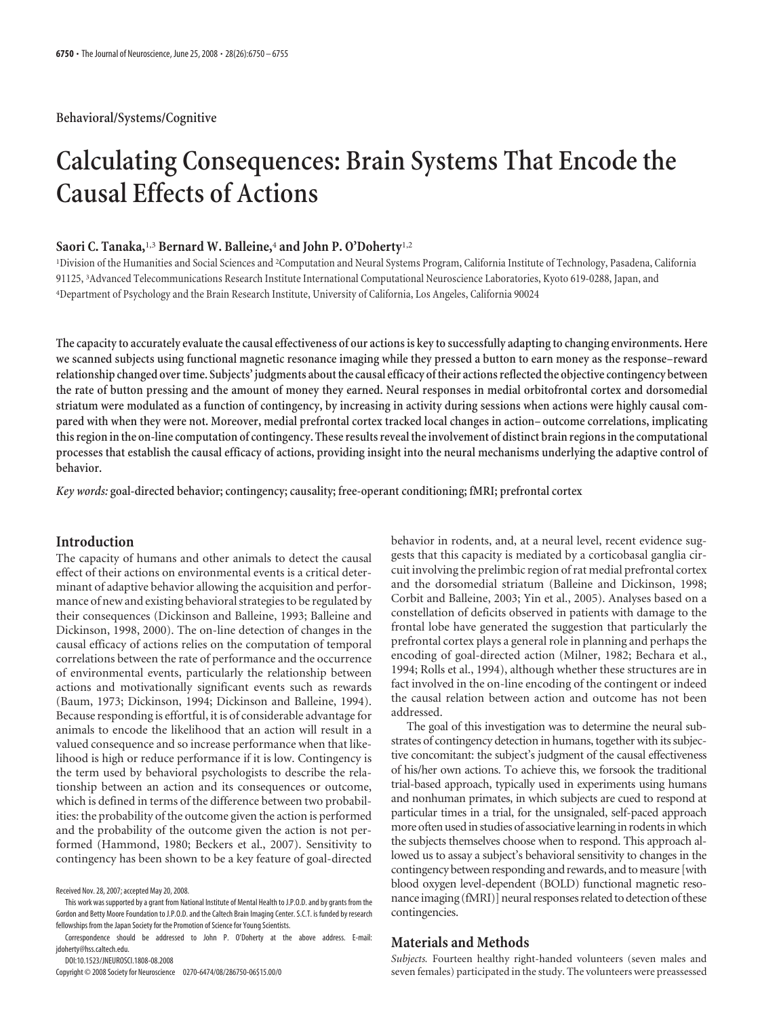#### **Behavioral/Systems/Cognitive**

# **Calculating Consequences: Brain Systems That Encode the Causal Effects of Actions**

#### **Saori C. Tanaka,**1,3 **Bernard W. Balleine,**<sup>4</sup> **and John P. O'Doherty**1,2

<sup>1</sup>Division of the Humanities and Social Sciences and <sup>2</sup>Computation and Neural Systems Program, California Institute of Technology, Pasadena, California 91125, <sup>3</sup> Advanced Telecommunications Research Institute International Computational Neuroscience Laboratories, Kyoto 619-0288, Japan, and 4 Department of Psychology and the Brain Research Institute, University of California, Los Angeles, California 90024

**The capacity to accurately evaluate the causal effectiveness of our actions is key to successfully adapting to changing environments. Here we scanned subjects using functional magnetic resonance imaging while they pressed a button to earn money as the response–reward relationship changed overtime. Subjects' judgments aboutthe causal efficacy oftheir actions reflectedthe objective contingency between the rate of button pressing and the amount of money they earned. Neural responses in medial orbitofrontal cortex and dorsomedial striatum were modulated as a function of contingency, by increasing in activity during sessions when actions were highly causal compared with when they were not. Moreover, medial prefrontal cortex tracked local changes in action– outcome correlations, implicating this region inthe on-line computation of contingency. These results revealthe involvement of distinct brain regions inthe computational processes that establish the causal efficacy of actions, providing insight into the neural mechanisms underlying the adaptive control of behavior.**

*Key words:* **goal-directed behavior; contingency; causality; free-operant conditioning; fMRI; prefrontal cortex**

# **Introduction**

The capacity of humans and other animals to detect the causal effect of their actions on environmental events is a critical determinant of adaptive behavior allowing the acquisition and performance of new and existing behavioral strategies to be regulated by their consequences (Dickinson and Balleine, 1993; Balleine and Dickinson, 1998, 2000). The on-line detection of changes in the causal efficacy of actions relies on the computation of temporal correlations between the rate of performance and the occurrence of environmental events, particularly the relationship between actions and motivationally significant events such as rewards (Baum, 1973; Dickinson, 1994; Dickinson and Balleine, 1994). Because responding is effortful, it is of considerable advantage for animals to encode the likelihood that an action will result in a valued consequence and so increase performance when that likelihood is high or reduce performance if it is low. Contingency is the term used by behavioral psychologists to describe the relationship between an action and its consequences or outcome, which is defined in terms of the difference between two probabilities: the probability of the outcome given the action is performed and the probability of the outcome given the action is not performed (Hammond, 1980; Beckers et al., 2007). Sensitivity to contingency has been shown to be a key feature of goal-directed

DOI:10.1523/JNEUROSCI.1808-08.2008

Copyright © 2008 Society for Neuroscience 0270-6474/08/286750-06\$15.00/0

behavior in rodents, and, at a neural level, recent evidence suggests that this capacity is mediated by a corticobasal ganglia circuit involving the prelimbic region of rat medial prefrontal cortex and the dorsomedial striatum (Balleine and Dickinson, 1998; Corbit and Balleine, 2003; Yin et al., 2005). Analyses based on a constellation of deficits observed in patients with damage to the frontal lobe have generated the suggestion that particularly the prefrontal cortex plays a general role in planning and perhaps the encoding of goal-directed action (Milner, 1982; Bechara et al., 1994; Rolls et al., 1994), although whether these structures are in fact involved in the on-line encoding of the contingent or indeed the causal relation between action and outcome has not been addressed.

The goal of this investigation was to determine the neural substrates of contingency detection in humans, together with its subjective concomitant: the subject's judgment of the causal effectiveness of his/her own actions. To achieve this, we forsook the traditional trial-based approach, typically used in experiments using humans and nonhuman primates, in which subjects are cued to respond at particular times in a trial, for the unsignaled, self-paced approach more often used in studies of associative learning in rodents in which the subjects themselves choose when to respond. This approach allowed us to assay a subject's behavioral sensitivity to changes in the contingency between responding and rewards, and to measure [with] blood oxygen level-dependent (BOLD) functional magnetic resonanceimaging (fMRI)] neural responses related to detection of these contingencies.

## **Materials and Methods**

*Subjects.* Fourteen healthy right-handed volunteers (seven males and seven females) participated in the study. The volunteers were preassessed

Received Nov. 28, 2007; accepted May 20, 2008.

This work was supported by a grant from National Institute of Mental Health to J.P.O.D. and by grants from the Gordon and Betty Moore Foundation to J.P.O.D. and the Caltech Brain Imaging Center. S.C.T. is funded by research fellowships from the Japan Society for the Promotion of Science for Young Scientists.

Correspondence should be addressed to John P. O'Doherty at the above address. E-mail: jdoherty@hss.caltech.edu.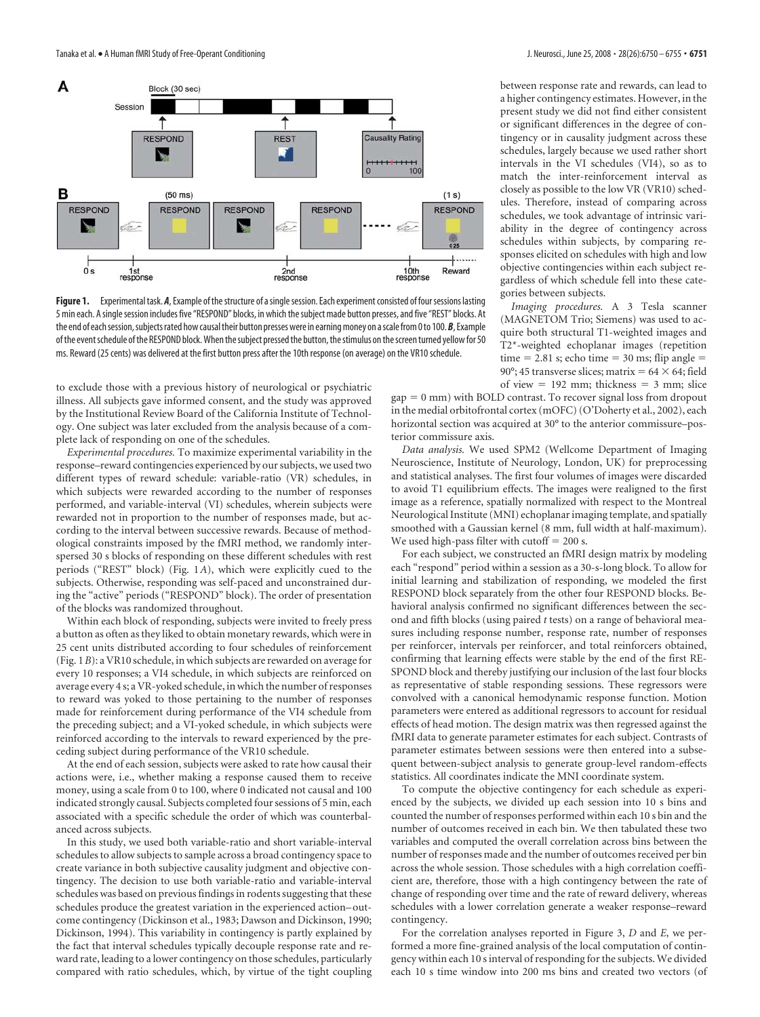

Figure 1. Experimental task. A, Example of the structure of a single session. Each experiment consisted of four sessions lasting 5 min each. Asinglesession includes five "RESPOND" blocks, in which thesubject made button presses, and five "REST" blocks. At the end of each session, subjects rated how causal their button presses were in earning money on a scale from 0 to 100. B, Example ofthe eventschedule ofthe RESPOND block.Whenthesubject pressedthe button,thestimulus onthescreenturned yellow for 50 ms. Reward (25 cents) was delivered at the first button press after the 10th response (on average) on the VR10 schedule.

to exclude those with a previous history of neurological or psychiatric illness. All subjects gave informed consent, and the study was approved by the Institutional Review Board of the California Institute of Technology. One subject was later excluded from the analysis because of a complete lack of responding on one of the schedules.

*Experimental procedures.* To maximize experimental variability in the response–reward contingencies experienced by our subjects, we used two different types of reward schedule: variable-ratio (VR) schedules, in which subjects were rewarded according to the number of responses performed, and variable-interval (VI) schedules, wherein subjects were rewarded not in proportion to the number of responses made, but according to the interval between successive rewards. Because of methodological constraints imposed by the fMRI method, we randomly interspersed 30 s blocks of responding on these different schedules with rest periods ("REST" block) (Fig. 1*A*), which were explicitly cued to the subjects. Otherwise, responding was self-paced and unconstrained during the "active" periods ("RESPOND" block). The order of presentation of the blocks was randomized throughout.

Within each block of responding, subjects were invited to freely press a button as often as they liked to obtain monetary rewards, which were in 25 cent units distributed according to four schedules of reinforcement (Fig. 1*B*): a VR10 schedule, in which subjects are rewarded on average for every 10 responses; a VI4 schedule, in which subjects are reinforced on average every 4 s; a VR-yoked schedule, in which the number of responses to reward was yoked to those pertaining to the number of responses made for reinforcement during performance of the VI4 schedule from the preceding subject; and a VI-yoked schedule, in which subjects were reinforced according to the intervals to reward experienced by the preceding subject during performance of the VR10 schedule.

At the end of each session, subjects were asked to rate how causal their actions were, i.e., whether making a response caused them to receive money, using a scale from 0 to 100, where 0 indicated not causal and 100 indicated strongly causal. Subjects completed four sessions of 5 min, each associated with a specific schedule the order of which was counterbalanced across subjects.

In this study, we used both variable-ratio and short variable-interval schedules to allow subjects to sample across a broad contingency space to create variance in both subjective causality judgment and objective contingency. The decision to use both variable-ratio and variable-interval schedules was based on previous findings in rodents suggesting that these schedules produce the greatest variation in the experienced action– outcome contingency (Dickinson et al., 1983; Dawson and Dickinson, 1990; Dickinson, 1994). This variability in contingency is partly explained by the fact that interval schedules typically decouple response rate and reward rate, leading to a lower contingency on those schedules, particularly compared with ratio schedules, which, by virtue of the tight coupling

between response rate and rewards, can lead to a higher contingency estimates. However, in the present study we did not find either consistent or significant differences in the degree of contingency or in causality judgment across these schedules, largely because we used rather short intervals in the VI schedules (VI4), so as to match the inter-reinforcement interval as closely as possible to the low VR (VR10) schedules. Therefore, instead of comparing across schedules, we took advantage of intrinsic variability in the degree of contingency across schedules within subjects, by comparing responses elicited on schedules with high and low objective contingencies within each subject regardless of which schedule fell into these categories between subjects.

*Imaging procedures.* A 3 Tesla scanner (MAGNETOM Trio; Siemens) was used to acquire both structural T1-weighted images and T2\*-weighted echoplanar images (repetition time  $= 2.81$  s; echo time  $= 30$  ms; flip angle  $=$ 90°; 45 transverse slices; matrix =  $64 \times 64$ ; field of view  $= 192$  mm; thickness  $= 3$  mm; slice

 $gap = 0$  mm) with BOLD contrast. To recover signal loss from dropout in the medial orbitofrontal cortex (mOFC) (O'Doherty et al., 2002), each horizontal section was acquired at 30° to the anterior commissure–posterior commissure axis.

*Data analysis.* We used SPM2 (Wellcome Department of Imaging Neuroscience, Institute of Neurology, London, UK) for preprocessing and statistical analyses. The first four volumes of images were discarded to avoid T1 equilibrium effects. The images were realigned to the first image as a reference, spatially normalized with respect to the Montreal Neurological Institute (MNI) echoplanar imaging template, and spatially smoothed with a Gaussian kernel (8 mm, full width at half-maximum). We used high-pass filter with cutoff  $= 200$  s.

For each subject, we constructed an fMRI design matrix by modeling each "respond" period within a session as a 30-s-long block. To allow for initial learning and stabilization of responding, we modeled the first RESPOND block separately from the other four RESPOND blocks. Behavioral analysis confirmed no significant differences between the second and fifth blocks (using paired *t* tests) on a range of behavioral measures including response number, response rate, number of responses per reinforcer, intervals per reinforcer, and total reinforcers obtained, confirming that learning effects were stable by the end of the first RE-SPOND block and thereby justifying our inclusion of the last four blocks as representative of stable responding sessions. These regressors were convolved with a canonical hemodynamic response function. Motion parameters were entered as additional regressors to account for residual effects of head motion. The design matrix was then regressed against the fMRI data to generate parameter estimates for each subject. Contrasts of parameter estimates between sessions were then entered into a subsequent between-subject analysis to generate group-level random-effects statistics. All coordinates indicate the MNI coordinate system.

To compute the objective contingency for each schedule as experienced by the subjects, we divided up each session into 10 s bins and counted the number of responses performed within each 10 s bin and the number of outcomes received in each bin. We then tabulated these two variables and computed the overall correlation across bins between the number of responses made and the number of outcomes received per bin across the whole session. Those schedules with a high correlation coefficient are, therefore, those with a high contingency between the rate of change of responding over time and the rate of reward delivery, whereas schedules with a lower correlation generate a weaker response–reward contingency.

For the correlation analyses reported in Figure 3, *D* and *E*, we performed a more fine-grained analysis of the local computation of contingency within each 10 s interval of responding for the subjects. We divided each 10 s time window into 200 ms bins and created two vectors (of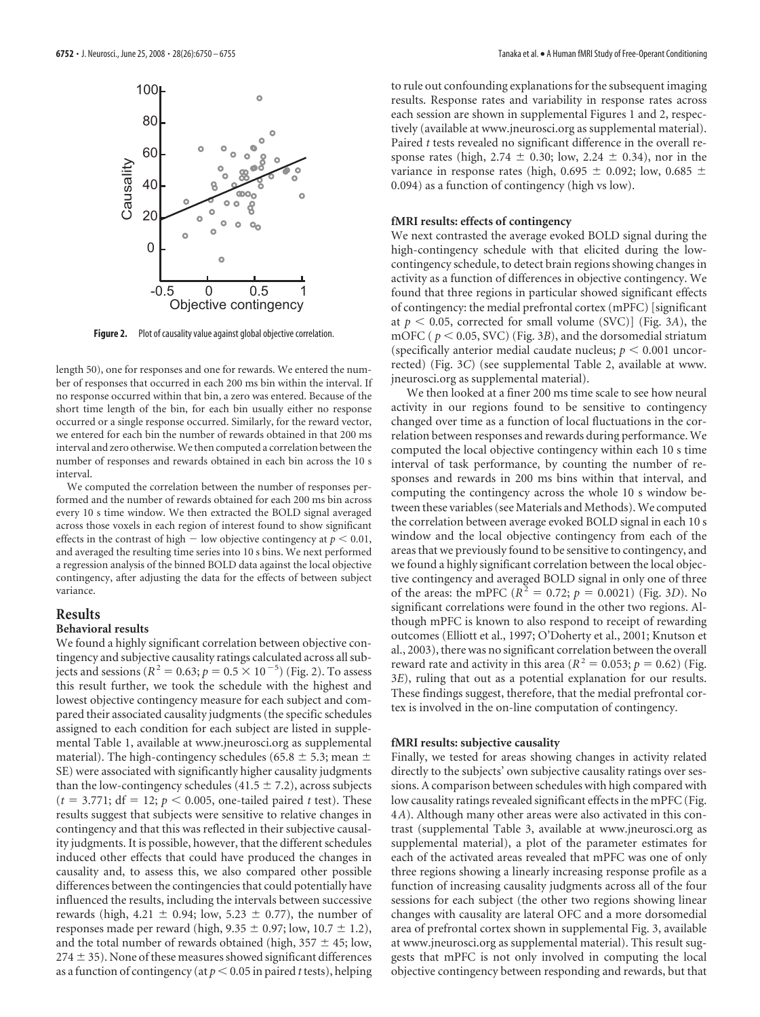

**Figure 2.** Plot of causality value against global objective correlation.

length 50), one for responses and one for rewards. We entered the number of responses that occurred in each 200 ms bin within the interval. If no response occurred within that bin, a zero was entered. Because of the short time length of the bin, for each bin usually either no response occurred or a single response occurred. Similarly, for the reward vector, we entered for each bin the number of rewards obtained in that 200 ms interval and zero otherwise.We then computed a correlation between the number of responses and rewards obtained in each bin across the 10 s interval.

We computed the correlation between the number of responses performed and the number of rewards obtained for each 200 ms bin across every 10 s time window. We then extracted the BOLD signal averaged across those voxels in each region of interest found to show significant effects in the contrast of high  $-$  low objective contingency at  $p < 0.01$ , and averaged the resulting time series into 10 s bins. We next performed a regression analysis of the binned BOLD data against the local objective contingency, after adjusting the data for the effects of between subject variance.

## **Results**

#### **Behavioral results**

We found a highly significant correlation between objective contingency and subjective causality ratings calculated across all subjects and sessions ( $R^2 = 0.63; p = 0.5 \times 10^{-5}$ ) (Fig. 2). To assess this result further, we took the schedule with the highest and lowest objective contingency measure for each subject and compared their associated causality judgments (the specific schedules assigned to each condition for each subject are listed in supplemental Table 1, available at www.jneurosci.org as supplemental material). The high-contingency schedules (65.8  $\pm$  5.3; mean  $\pm$ SE) were associated with significantly higher causality judgments than the low-contingency schedules (41.5  $\pm$  7.2), across subjects  $(t = 3.771; df = 12; p < 0.005$ , one-tailed paired *t* test). These results suggest that subjects were sensitive to relative changes in contingency and that this was reflected in their subjective causality judgments. It is possible, however, that the different schedules induced other effects that could have produced the changes in causality and, to assess this, we also compared other possible differences between the contingencies that could potentially have influenced the results, including the intervals between successive rewards (high, 4.21  $\pm$  0.94; low, 5.23  $\pm$  0.77), the number of responses made per reward (high,  $9.35 \pm 0.97$ ; low,  $10.7 \pm 1.2$ ), and the total number of rewards obtained (high,  $357 \pm 45$ ; low,  $274 \pm 35$ ). None of these measures showed significant differences as a function of contingency (at  $p < 0.05$  in paired *t* tests), helping

to rule out confounding explanations for the subsequent imaging results. Response rates and variability in response rates across each session are shown in supplemental Figures 1 and 2, respectively (available at www.jneurosci.org as supplemental material). Paired *t* tests revealed no significant difference in the overall response rates (high, 2.74  $\pm$  0.30; low, 2.24  $\pm$  0.34), nor in the variance in response rates (high, 0.695  $\pm$  0.092; low, 0.685  $\pm$ 0.094) as a function of contingency (high vs low).

### **fMRI results: effects of contingency**

We next contrasted the average evoked BOLD signal during the high-contingency schedule with that elicited during the lowcontingency schedule, to detect brain regions showing changes in activity as a function of differences in objective contingency. We found that three regions in particular showed significant effects of contingency: the medial prefrontal cortex (mPFC) [significant at  $p < 0.05$ , corrected for small volume (SVC)] (Fig. 3A), the mOFC ( $p < 0.05$ , SVC) (Fig. 3*B*), and the dorsomedial striatum (specifically anterior medial caudate nucleus;  $p < 0.001$  uncorrected) (Fig. 3*C*) (see supplemental Table 2, available at www. jneurosci.org as supplemental material).

We then looked at a finer 200 ms time scale to see how neural activity in our regions found to be sensitive to contingency changed over time as a function of local fluctuations in the correlation between responses and rewards during performance. We computed the local objective contingency within each 10 s time interval of task performance, by counting the number of responses and rewards in 200 ms bins within that interval, and computing the contingency across the whole 10 s window between these variables (see Materials and Methods).We computed the correlation between average evoked BOLD signal in each 10 s window and the local objective contingency from each of the areas that we previously found to be sensitive to contingency, and we found a highly significant correlation between the local objective contingency and averaged BOLD signal in only one of three of the areas: the mPFC ( $R^2 = 0.72$ ;  $p = 0.0021$ ) (Fig. 3*D*). No significant correlations were found in the other two regions. Although mPFC is known to also respond to receipt of rewarding outcomes (Elliott et al., 1997; O'Doherty et al., 2001; Knutson et al., 2003), there was no significant correlation between the overall reward rate and activity in this area ( $R^2 = 0.053$ ;  $p = 0.62$ ) (Fig. 3*E*), ruling that out as a potential explanation for our results. These findings suggest, therefore, that the medial prefrontal cortex is involved in the on-line computation of contingency.

#### **fMRI results: subjective causality**

Finally, we tested for areas showing changes in activity related directly to the subjects' own subjective causality ratings over sessions. A comparison between schedules with high compared with low causality ratings revealed significant effects in the mPFC (Fig. 4*A*). Although many other areas were also activated in this contrast (supplemental Table 3, available at www.jneurosci.org as supplemental material), a plot of the parameter estimates for each of the activated areas revealed that mPFC was one of only three regions showing a linearly increasing response profile as a function of increasing causality judgments across all of the four sessions for each subject (the other two regions showing linear changes with causality are lateral OFC and a more dorsomedial area of prefrontal cortex shown in supplemental Fig. 3, available at www.jneurosci.org as supplemental material). This result suggests that mPFC is not only involved in computing the local objective contingency between responding and rewards, but that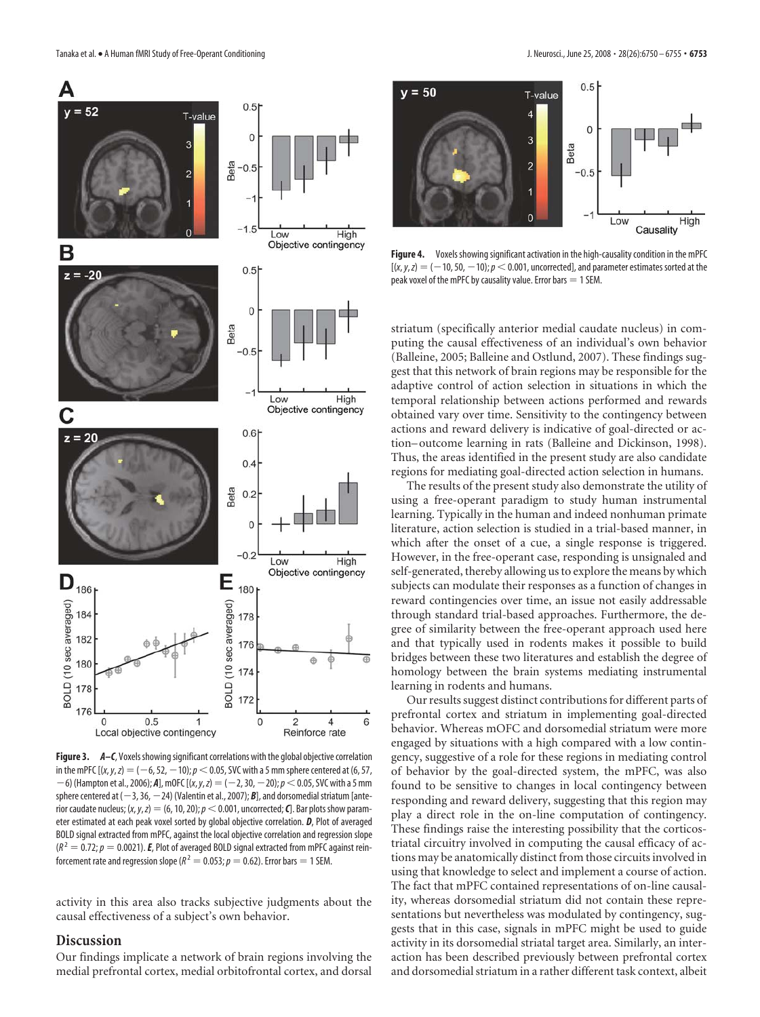

Figure 3. *A-C*, Voxels showing significant correlations with the global objective correlation in the mPFC  $[(x, y, z) = (-6, 52, -10); p < 0.05$ , SVC with a 5 mm sphere centered at  $(6, 57, 67)$  $-6$ ) (Hampton et al., 2006); *A*], mOFC [(*x*, *y*, *z*) = (-2, 30, -20); *p* < 0.05, SVC with a 5 mm sphere centered at  $(-3, 36, -24)$  (Valentin et al., 2007); **B**], and dorsomedial striatum [anterior caudate nucleus;  $(x, y, z) = (6, 10, 20)$ ;  $p < 0.001$ , uncorrected; *C*]. Bar plots show parameter estimated at each peak voxel sorted by global objective correlation. *D*, Plot of averaged BOLD signal extracted from mPFC, against the local objective correlation and regression slope  $(R^2 = 0.72; p = 0.0021)$ . *E*, Plot of averaged BOLD signal extracted from mPFC against reinforcement rate and regression slope ( $R^2 = 0.053; p = 0.62$ ). Error bars  $= 1$  SEM.

activity in this area also tracks subjective judgments about the causal effectiveness of a subject's own behavior.

# **Discussion**

Our findings implicate a network of brain regions involving the medial prefrontal cortex, medial orbitofrontal cortex, and dorsal



**Figure 4.** Voxels showing significant activation in the high-causality condition in the mPFC  $[(x, y, z) = (-10, 50, -10); p < 0.001$ , uncorrected], and parameter estimates sorted at the peak voxel of the mPFC by causality value. Error bars  $=$  1 SEM.

striatum (specifically anterior medial caudate nucleus) in computing the causal effectiveness of an individual's own behavior (Balleine, 2005; Balleine and Ostlund, 2007). These findings suggest that this network of brain regions may be responsible for the adaptive control of action selection in situations in which the temporal relationship between actions performed and rewards obtained vary over time. Sensitivity to the contingency between actions and reward delivery is indicative of goal-directed or action– outcome learning in rats (Balleine and Dickinson, 1998). Thus, the areas identified in the present study are also candidate regions for mediating goal-directed action selection in humans.

The results of the present study also demonstrate the utility of using a free-operant paradigm to study human instrumental learning. Typically in the human and indeed nonhuman primate literature, action selection is studied in a trial-based manner, in which after the onset of a cue, a single response is triggered. However, in the free-operant case, responding is unsignaled and self-generated, thereby allowing us to explore the means by which subjects can modulate their responses as a function of changes in reward contingencies over time, an issue not easily addressable through standard trial-based approaches. Furthermore, the degree of similarity between the free-operant approach used here and that typically used in rodents makes it possible to build bridges between these two literatures and establish the degree of homology between the brain systems mediating instrumental learning in rodents and humans.

Our results suggest distinct contributions for different parts of prefrontal cortex and striatum in implementing goal-directed behavior. Whereas mOFC and dorsomedial striatum were more engaged by situations with a high compared with a low contingency, suggestive of a role for these regions in mediating control of behavior by the goal-directed system, the mPFC, was also found to be sensitive to changes in local contingency between responding and reward delivery, suggesting that this region may play a direct role in the on-line computation of contingency. These findings raise the interesting possibility that the corticostriatal circuitry involved in computing the causal efficacy of actions may be anatomically distinct from those circuits involved in using that knowledge to select and implement a course of action. The fact that mPFC contained representations of on-line causality, whereas dorsomedial striatum did not contain these representations but nevertheless was modulated by contingency, suggests that in this case, signals in mPFC might be used to guide activity in its dorsomedial striatal target area. Similarly, an interaction has been described previously between prefrontal cortex and dorsomedial striatum in a rather different task context, albeit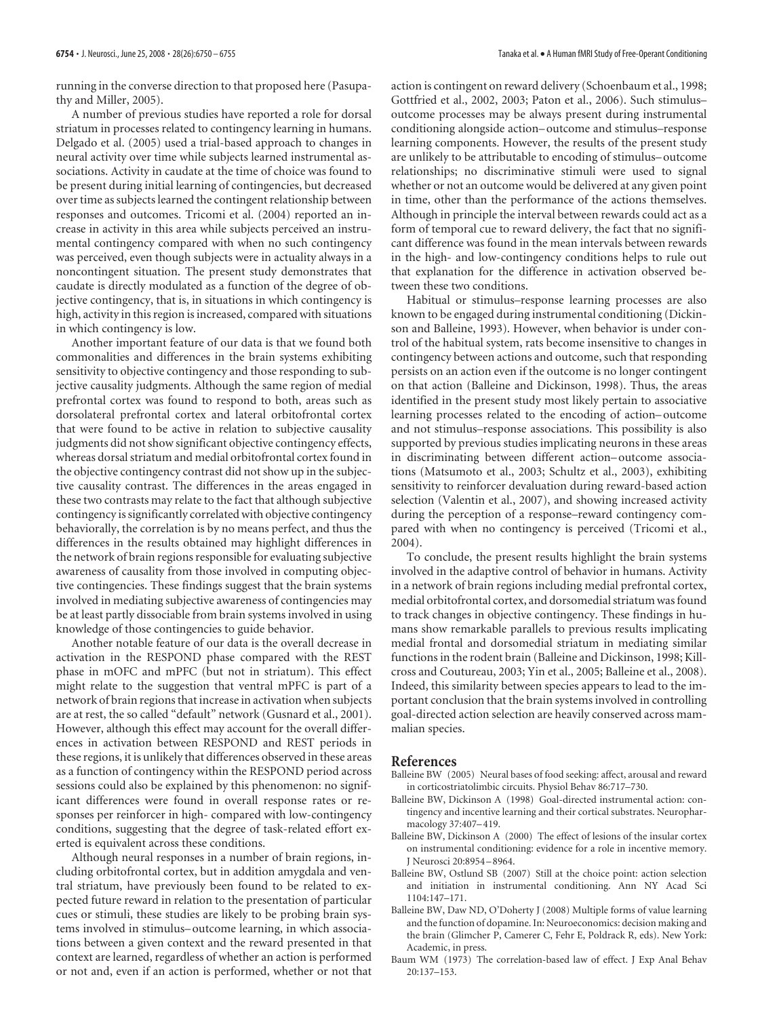running in the converse direction to that proposed here (Pasupathy and Miller, 2005).

A number of previous studies have reported a role for dorsal striatum in processes related to contingency learning in humans. Delgado et al. (2005) used a trial-based approach to changes in neural activity over time while subjects learned instrumental associations. Activity in caudate at the time of choice was found to be present during initial learning of contingencies, but decreased over time as subjects learned the contingent relationship between responses and outcomes. Tricomi et al. (2004) reported an increase in activity in this area while subjects perceived an instrumental contingency compared with when no such contingency was perceived, even though subjects were in actuality always in a noncontingent situation. The present study demonstrates that caudate is directly modulated as a function of the degree of objective contingency, that is, in situations in which contingency is high, activity in this region is increased, compared with situations in which contingency is low.

Another important feature of our data is that we found both commonalities and differences in the brain systems exhibiting sensitivity to objective contingency and those responding to subjective causality judgments. Although the same region of medial prefrontal cortex was found to respond to both, areas such as dorsolateral prefrontal cortex and lateral orbitofrontal cortex that were found to be active in relation to subjective causality judgments did not show significant objective contingency effects, whereas dorsal striatum and medial orbitofrontal cortex found in the objective contingency contrast did not show up in the subjective causality contrast. The differences in the areas engaged in these two contrasts may relate to the fact that although subjective contingency is significantly correlated with objective contingency behaviorally, the correlation is by no means perfect, and thus the differences in the results obtained may highlight differences in the network of brain regions responsible for evaluating subjective awareness of causality from those involved in computing objective contingencies. These findings suggest that the brain systems involved in mediating subjective awareness of contingencies may be at least partly dissociable from brain systems involved in using knowledge of those contingencies to guide behavior.

Another notable feature of our data is the overall decrease in activation in the RESPOND phase compared with the REST phase in mOFC and mPFC (but not in striatum). This effect might relate to the suggestion that ventral mPFC is part of a network of brain regions that increase in activation when subjects are at rest, the so called "default" network (Gusnard et al., 2001). However, although this effect may account for the overall differences in activation between RESPOND and REST periods in these regions, it is unlikely that differences observed in these areas as a function of contingency within the RESPOND period across sessions could also be explained by this phenomenon: no significant differences were found in overall response rates or responses per reinforcer in high- compared with low-contingency conditions, suggesting that the degree of task-related effort exerted is equivalent across these conditions.

Although neural responses in a number of brain regions, including orbitofrontal cortex, but in addition amygdala and ventral striatum, have previously been found to be related to expected future reward in relation to the presentation of particular cues or stimuli, these studies are likely to be probing brain systems involved in stimulus– outcome learning, in which associations between a given context and the reward presented in that context are learned, regardless of whether an action is performed or not and, even if an action is performed, whether or not that

action is contingent on reward delivery (Schoenbaum et al., 1998; Gottfried et al., 2002, 2003; Paton et al., 2006). Such stimulus– outcome processes may be always present during instrumental conditioning alongside action– outcome and stimulus–response learning components. However, the results of the present study are unlikely to be attributable to encoding of stimulus– outcome relationships; no discriminative stimuli were used to signal whether or not an outcome would be delivered at any given point in time, other than the performance of the actions themselves. Although in principle the interval between rewards could act as a form of temporal cue to reward delivery, the fact that no significant difference was found in the mean intervals between rewards in the high- and low-contingency conditions helps to rule out that explanation for the difference in activation observed between these two conditions.

Habitual or stimulus–response learning processes are also known to be engaged during instrumental conditioning (Dickinson and Balleine, 1993). However, when behavior is under control of the habitual system, rats become insensitive to changes in contingency between actions and outcome, such that responding persists on an action even if the outcome is no longer contingent on that action (Balleine and Dickinson, 1998). Thus, the areas identified in the present study most likely pertain to associative learning processes related to the encoding of action– outcome and not stimulus–response associations. This possibility is also supported by previous studies implicating neurons in these areas in discriminating between different action– outcome associations (Matsumoto et al., 2003; Schultz et al., 2003), exhibiting sensitivity to reinforcer devaluation during reward-based action selection (Valentin et al., 2007), and showing increased activity during the perception of a response–reward contingency compared with when no contingency is perceived (Tricomi et al., 2004).

To conclude, the present results highlight the brain systems involved in the adaptive control of behavior in humans. Activity in a network of brain regions including medial prefrontal cortex, medial orbitofrontal cortex, and dorsomedial striatum was found to track changes in objective contingency. These findings in humans show remarkable parallels to previous results implicating medial frontal and dorsomedial striatum in mediating similar functions in the rodent brain (Balleine and Dickinson, 1998; Killcross and Coutureau, 2003; Yin et al., 2005; Balleine et al., 2008). Indeed, this similarity between species appears to lead to the important conclusion that the brain systems involved in controlling goal-directed action selection are heavily conserved across mammalian species.

#### **References**

- Balleine BW (2005) Neural bases of food seeking: affect, arousal and reward in corticostriatolimbic circuits. Physiol Behav 86:717–730.
- Balleine BW, Dickinson A (1998) Goal-directed instrumental action: contingency and incentive learning and their cortical substrates. Neuropharmacology 37:407–419.
- Balleine BW, Dickinson A (2000) The effect of lesions of the insular cortex on instrumental conditioning: evidence for a role in incentive memory. J Neurosci 20:8954 –8964.
- Balleine BW, Ostlund SB (2007) Still at the choice point: action selection and initiation in instrumental conditioning. Ann NY Acad Sci 1104:147–171.
- Balleine BW, Daw ND, O'Doherty J (2008) Multiple forms of value learning and the function of dopamine. In: Neuroeconomics: decision making and the brain (Glimcher P, Camerer C, Fehr E, Poldrack R, eds). New York: Academic, in press.
- Baum WM (1973) The correlation-based law of effect. J Exp Anal Behav 20:137–153.